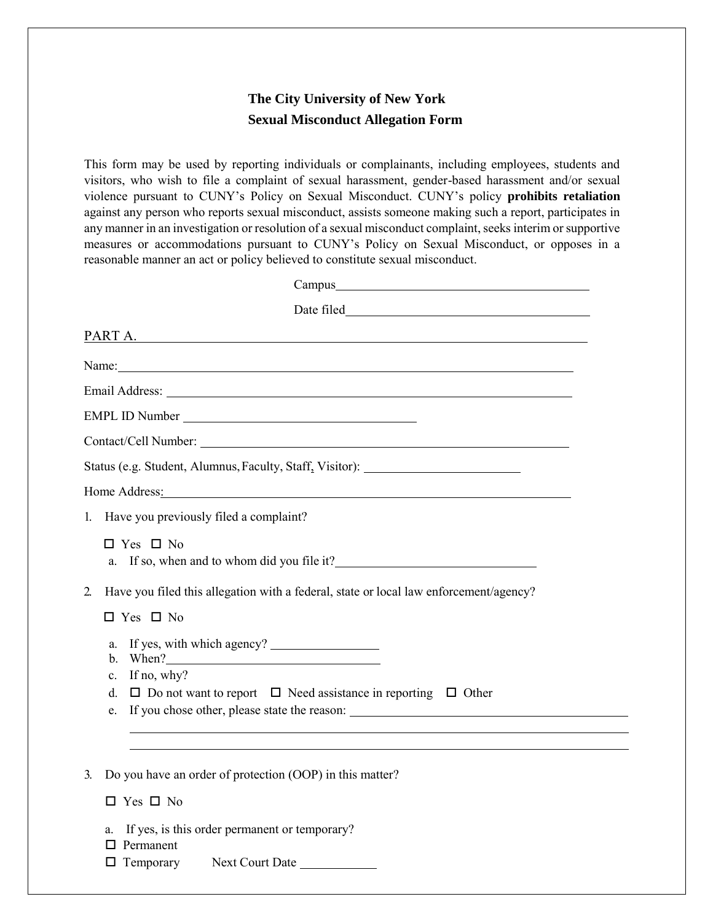## **The City University of New York Sexual Misconduct Allegation Form**

 This form may be used by reporting individuals or complainants, including employees, students and visitors, who wish to file a complaint of sexual harassment, gender-based harassment and/or sexual violence pursuant to CUNY's Policy on Sexual Misconduct. CUNY's policy **prohibits retaliation**  any manner in an investigation or resolution of a sexual misconduct complaint, seeks interim or supportive measures or accommodations pursuant to CUNY's Policy on Sexual Misconduct, or opposes in a on Sexual Miscondue<br>misconduct, assists son<br>tion of a sexual miscon<br>nt to CUNY's Policy against any person who reports sexual misconduct, assists someone making such a report, participates in reasonable manner an act or policy believed to constitute sexual misconduct.

| Campus expression of the contract of the contract of the contract of the contract of the contract of the contract of the contract of the contract of the contract of the contract of the contract of the contract of the contr |
|--------------------------------------------------------------------------------------------------------------------------------------------------------------------------------------------------------------------------------|
|                                                                                                                                                                                                                                |
| PART A.                                                                                                                                                                                                                        |
| Name: Name:                                                                                                                                                                                                                    |
|                                                                                                                                                                                                                                |
| EMPL ID Number                                                                                                                                                                                                                 |
|                                                                                                                                                                                                                                |
| Status (e.g. Student, Alumnus, Faculty, Staff, Visitor): _______________________                                                                                                                                               |
| Home Address: No. 2016. The Address Contract of the Address Contract of the Address Contract of the Address Contract of the Address Contract of the Address Contract of the Address Contract of the Address Contract of the Ad |
| 1. Have you previously filed a complaint?                                                                                                                                                                                      |
| $\Box$ Yes $\Box$ No<br>If so, when and to whom did you file it?<br><u>If</u> so, when and to whom did you file it?<br>a.                                                                                                      |
| Have you filed this allegation with a federal, state or local law enforcement/agency?<br>2.                                                                                                                                    |
| $\Box$ Yes $\Box$ No                                                                                                                                                                                                           |
| a.<br>When?<br>b.<br>If no, why?<br>c.<br>$\Box$ Do not want to report $\Box$ Need assistance in reporting $\Box$ Other<br>d.<br>If you chose other, please state the reason:<br>e.                                            |
|                                                                                                                                                                                                                                |
| Do you have an order of protection (OOP) in this matter?<br>3.                                                                                                                                                                 |
| $\Box$ Yes $\Box$ No                                                                                                                                                                                                           |
| If yes, is this order permanent or temporary?<br>a.<br>Permanent<br>□ Temporary Next Court Date ___________                                                                                                                    |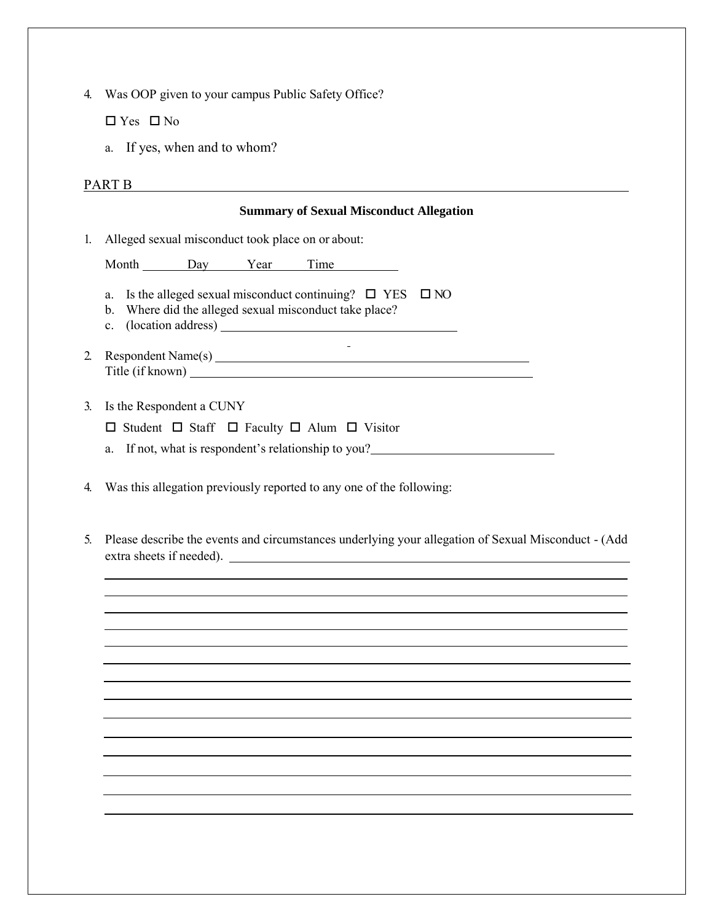4. Was OOP given to your campus Public Safety Office?

 $\Box$  Yes  $\Box$  No

a. If yes, when and to whom?

## PART B

## **Summary of Sexual Misconduct Allegation**  1. Alleged sexual misconduct took place on or about: Month Day Year Time a. Is the alleged sexual misconduct continuing?  $\Box$  YES  $\Box$  NO b. Where did the alleged sexual misconduct take place? c. (location address)  $\mathbf{r}$ 2. Respondent Name(s) Title (if known) 3. Is the Respondent a CUNY  $\square$  Student  $\square$  Staff  $\square$  Faculty  $\square$  Alum  $\square$  Visitor a. If not, what is respondent's relationship to you? 4. Was this allegation previously reported to any one of the following: 5. Please describe the events and circumstances underlying your allegation of Sexual Misconduct - (Add extra sheets if needed).